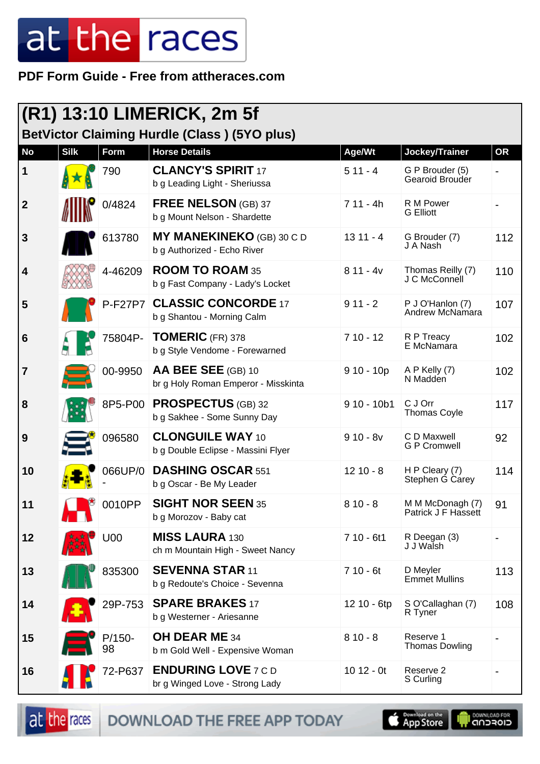**PDF Form Guide - Free from attheraces.com**

| <b>(R1) 13:10 LIMERICK, 2m 5f</b> |             |                |                                                                 |              |                                         |           |  |
|-----------------------------------|-------------|----------------|-----------------------------------------------------------------|--------------|-----------------------------------------|-----------|--|
|                                   |             |                | <b>BetVictor Claiming Hurdle (Class) (5YO plus)</b>             |              |                                         |           |  |
| <b>No</b>                         | <b>Silk</b> | Form           | <b>Horse Details</b>                                            | Age/Wt       | Jockey/Trainer                          | <b>OR</b> |  |
| $\vert$ 1                         |             | 790            | <b>CLANCY'S SPIRIT 17</b><br>b g Leading Light - Sheriussa      | $511 - 4$    | G P Brouder (5)<br>Gearoid Brouder      |           |  |
| $\boldsymbol{2}$                  |             | 0/4824         | <b>FREE NELSON</b> (GB) 37<br>b g Mount Nelson - Shardette      | $711 - 4h$   | R M Power<br><b>G</b> Elliott           |           |  |
| $\mathbf{3}$                      |             | 613780         | <b>MY MANEKINEKO</b> (GB) 30 C D<br>b g Authorized - Echo River | $1311 - 4$   | G Brouder (7)<br>J A Nash               | 112       |  |
| 4                                 |             | 4-46209        | <b>ROOM TO ROAM 35</b><br>b g Fast Company - Lady's Locket      | $811 - 4v$   | Thomas Reilly (7)<br>J C McConnell      | 110       |  |
| 5                                 |             | <b>P-F27P7</b> | <b>CLASSIC CONCORDE 17</b><br>b g Shantou - Morning Calm        | $911 - 2$    | P J O'Hanlon (7)<br>Andrew McNamara     | 107       |  |
| $6\phantom{1}6$                   |             | 75804P-        | <b>TOMERIC (FR) 378</b><br>b g Style Vendome - Forewarned       | $710 - 12$   | R P Treacy<br>E McNamara                | 102       |  |
| 7                                 |             | 00-9950        | AA BEE SEE (GB) 10<br>br g Holy Roman Emperor - Misskinta       | $910 - 10p$  | A P Kelly (7)<br>N Madden               | 102       |  |
| 8                                 |             | 8P5-P00        | <b>PROSPECTUS (GB) 32</b><br>b g Sakhee - Some Sunny Day        | $910 - 10b1$ | C J Orr<br><b>Thomas Coyle</b>          | 117       |  |
| 9                                 |             | 096580         | <b>CLONGUILE WAY 10</b><br>b g Double Eclipse - Massini Flyer   | $910 - 8v$   | C D Maxwell<br><b>G P Cromwell</b>      | 92        |  |
| 10                                |             | 066UP/0        | <b>DASHING OSCAR 551</b><br>b g Oscar - Be My Leader            | $1210 - 8$   | H P Cleary (7)<br>Stephen G Carey       | 114       |  |
| 11                                |             | 0010PP         | <b>SIGHT NOR SEEN 35</b><br>b g Morozov - Baby cat              | $810 - 8$    | M M McDonagh (7)<br>Patrick J F Hassett | 91        |  |
| 12                                |             | U00            | <b>MISS LAURA 130</b><br>ch m Mountain High - Sweet Nancy       | $710 - 6t1$  | R Deegan (3)<br>J J Walsh               |           |  |
| 13                                |             | 835300         | <b>SEVENNA STAR 11</b><br>b g Redoute's Choice - Sevenna        | $710 - 6t$   | D Meyler<br><b>Emmet Mullins</b>        | 113       |  |
| 14                                |             | 29P-753        | <b>SPARE BRAKES 17</b><br>b g Westerner - Ariesanne             | 12 10 - 6tp  | S O'Callaghan (7)<br>R Tyner            | 108       |  |
| 15                                |             | $P/150-$<br>98 | <b>OH DEAR ME 34</b><br>b m Gold Well - Expensive Woman         | $810 - 8$    | Reserve 1<br><b>Thomas Dowling</b>      |           |  |
| 16                                |             | 72-P637        | <b>ENDURING LOVE 7 C D</b><br>br g Winged Love - Strong Lady    | $1012 - 0t$  | Reserve 2<br>S Curling                  |           |  |

at the races DOWNLOAD THE FREE APP TODAY

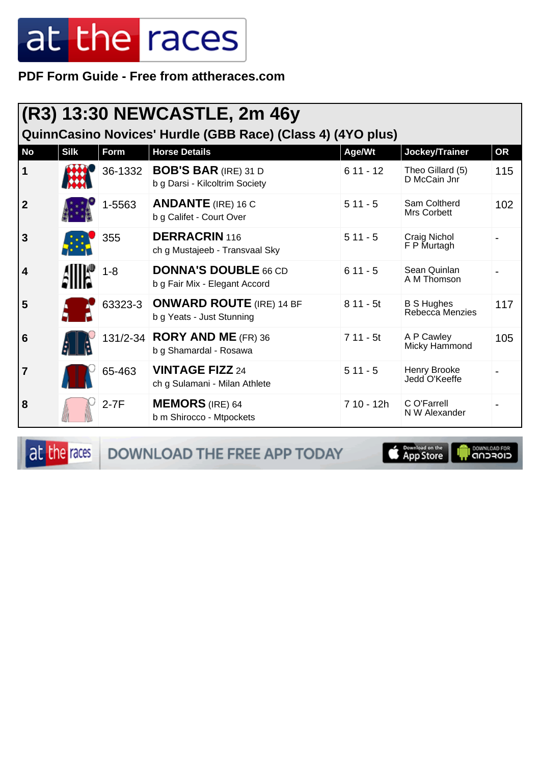PDF Form Guide - Free from attheraces.com

|                | (R3) 13:30 NEWCASTLE, 2m 46y<br>QuinnCasino Novices' Hurdle (GBB Race) (Class 4) (4YO plus) |         |                                                               |             |                                      |           |  |  |
|----------------|---------------------------------------------------------------------------------------------|---------|---------------------------------------------------------------|-------------|--------------------------------------|-----------|--|--|
| <b>No</b>      | <b>Silk</b>                                                                                 | Form    | <b>Horse Details</b>                                          | Age/Wt      | Jockey/Trainer                       | <b>OR</b> |  |  |
| 1              |                                                                                             | 36-1332 | <b>BOB'S BAR (IRE) 31 D</b><br>b g Darsi - Kilcoltrim Society | $611 - 12$  | Theo Gillard (5)<br>D McCain Jnr     | 115       |  |  |
| $\overline{2}$ |                                                                                             | 1-5563  | <b>ANDANTE</b> (IRE) 16 C<br>b g Califet - Court Over         | $511 - 5$   | Sam Coltherd<br>Mrs Corbett          | 102       |  |  |
| 3              |                                                                                             | 355     | <b>DERRACRIN</b> 116<br>ch g Mustajeeb - Transvaal Sky        | $511 - 5$   | Craig Nichol<br>F P Murtagh          |           |  |  |
| 4              |                                                                                             | $1 - 8$ | <b>DONNA'S DOUBLE 66 CD</b><br>b g Fair Mix - Elegant Accord  | $611 - 5$   | Sean Quinlan<br>A M Thomson          |           |  |  |
| 5              |                                                                                             | 63323-3 | <b>ONWARD ROUTE (IRE) 14 BF</b><br>b g Yeats - Just Stunning  | $811 - 5t$  | <b>B S Hughes</b><br>Rebecca Menzies | 117       |  |  |
| 6              |                                                                                             |         | 131/2-34 <b>RORY AND ME</b> (FR) 36<br>b g Shamardal - Rosawa | $711 - 5t$  | A P Cawley<br>Micky Hammond          | 105       |  |  |
| 7              |                                                                                             | 65-463  | <b>VINTAGE FIZZ 24</b><br>ch g Sulamani - Milan Athlete       | $511 - 5$   | Henry Brooke<br>Jedd O'Keeffe        |           |  |  |
| 8              |                                                                                             | $2-7F$  | <b>MEMORS</b> (IRE) 64<br>b m Shirocco - Mtpockets            | $710 - 12h$ | C O'Farrell<br>N W Alexander         |           |  |  |

at the races

DOWNLOAD THE FREE APP TODAY



**I** DOWNLOAD FOR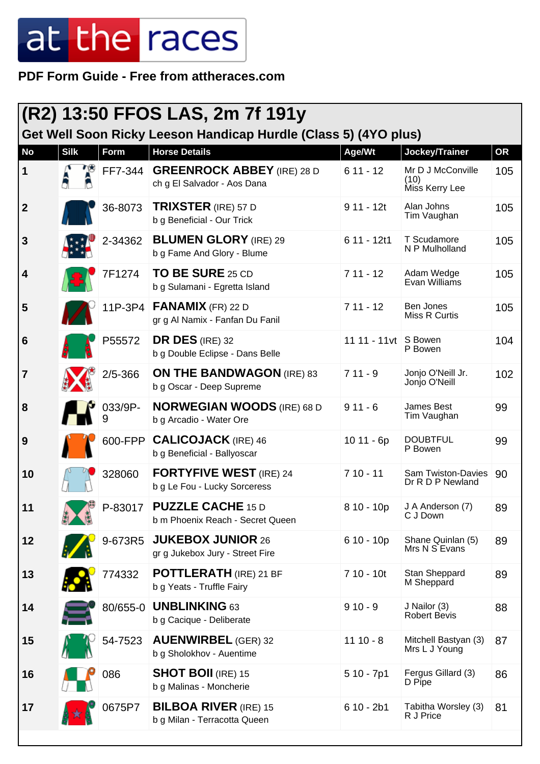**PDF Form Guide - Free from attheraces.com**

| (R2) 13:50 FFOS LAS, 2m 7f 191y<br>Get Well Soon Ricky Leeson Handicap Hurdle (Class 5) (4YO plus) |             |             |                                                                  |               |                                             |           |  |
|----------------------------------------------------------------------------------------------------|-------------|-------------|------------------------------------------------------------------|---------------|---------------------------------------------|-----------|--|
| <b>No</b>                                                                                          | <b>Silk</b> | <b>Form</b> | <b>Horse Details</b>                                             | Age/Wt        | Jockey/Trainer                              | <b>OR</b> |  |
| 1                                                                                                  |             | FF7-344     | <b>GREENROCK ABBEY</b> (IRE) 28 D<br>ch g El Salvador - Aos Dana | $611 - 12$    | Mr D J McConville<br>(10)<br>Miss Kerry Lee | 105       |  |
| $\overline{2}$                                                                                     |             | 36-8073     | <b>TRIXSTER</b> (IRE) 57 D<br>b g Beneficial - Our Trick         | $911 - 12t$   | Alan Johns<br>Tim Vaughan                   | 105       |  |
| 3                                                                                                  |             | 2-34362     | <b>BLUMEN GLORY (IRE) 29</b><br>b g Fame And Glory - Blume       | 6 11 - 12t1   | T Scudamore<br>N P Mulholland               | 105       |  |
| 4                                                                                                  |             | 7F1274      | <b>TO BE SURE 25 CD</b><br>b g Sulamani - Egretta Island         | $711 - 12$    | Adam Wedge<br>Evan Williams                 | 105       |  |
| 5                                                                                                  |             | 11P-3P4     | <b>FANAMIX</b> (FR) 22 D<br>gr g Al Namix - Fanfan Du Fanil      | $711 - 12$    | <b>Ben Jones</b><br>Miss R Curtis           | 105       |  |
| $6\phantom{1}6$                                                                                    |             | P55572      | DR DES (IRE) 32<br>b g Double Eclipse - Dans Belle               | 11 11 - 11 vt | S Bowen<br>P Bowen                          | 104       |  |
| $\overline{7}$                                                                                     |             | $2/5 - 366$ | <b>ON THE BANDWAGON (IRE) 83</b><br>b g Oscar - Deep Supreme     | $711 - 9$     | Jonjo O'Neill Jr.<br>Jonjo O'Neill          | 102       |  |
| 8                                                                                                  |             | 033/9P-     | <b>NORWEGIAN WOODS</b> (IRE) 68 D<br>b g Arcadio - Water Ore     | $911 - 6$     | James Best<br>Tim Vaughan                   | 99        |  |
| 9                                                                                                  |             | 600-FPP     | <b>CALICOJACK</b> (IRE) 46<br>b g Beneficial - Ballyoscar        | $1011 - 6p$   | <b>DOUBTFUL</b><br>P Bowen                  | 99        |  |
| 10                                                                                                 |             | 328060      | <b>FORTYFIVE WEST</b> (IRE) 24<br>b g Le Fou - Lucky Sorceress   | $710 - 11$    | Sam Twiston-Davies<br>Dr R D P Newland      | 90        |  |
| 11                                                                                                 |             | P-83017     | <b>PUZZLE CACHE 15 D</b><br>b m Phoenix Reach - Secret Queen     | $810 - 10p$   | J A Anderson (7)<br>C J Down                | 89        |  |
| 12                                                                                                 |             | 9-673R5     | <b>JUKEBOX JUNIOR 26</b><br>gr g Jukebox Jury - Street Fire      | 6 10 - 10p    | Shane Quinlan (5)<br>Mrs N S Evans          | 89        |  |
| 13                                                                                                 |             | 774332      | <b>POTTLERATH</b> (IRE) 21 BF<br>b g Yeats - Truffle Fairy       | $710 - 10t$   | Stan Sheppard<br>M Sheppard                 | 89        |  |
| 14                                                                                                 |             | 80/655-0    | <b>UNBLINKING 63</b><br>b g Cacique - Deliberate                 | $910 - 9$     | J Nailor (3)<br><b>Robert Bevis</b>         | 88        |  |
| 15                                                                                                 |             | 54-7523     | <b>AUENWIRBEL (GER) 32</b><br>b g Sholokhov - Auentime           | $1110 - 8$    | Mitchell Bastyan (3)<br>Mrs L J Young       | 87        |  |
| 16                                                                                                 |             | 086         | <b>SHOT BOII</b> (IRE) 15<br>b g Malinas - Moncherie             | $510 - 7p1$   | Fergus Gillard (3)<br>D Pipe                | 86        |  |
| 17                                                                                                 |             | 0675P7      | <b>BILBOA RIVER (IRE) 15</b><br>b g Milan - Terracotta Queen     | $610 - 2b1$   | Tabitha Worsley (3)<br>R J Price            | 81        |  |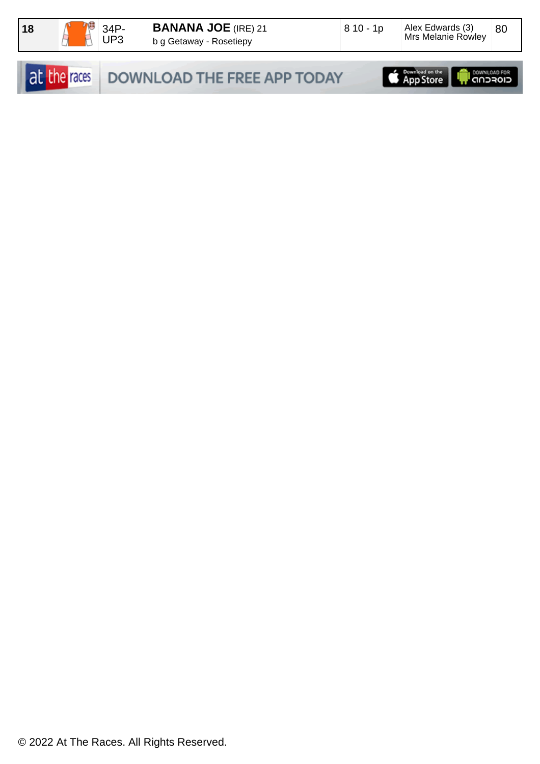

|  | at the races DOWNLOAD THE FREE APP TODAY | App Store   <b>In CONVERGER   App Store</b> |  |
|--|------------------------------------------|---------------------------------------------|--|
|--|------------------------------------------|---------------------------------------------|--|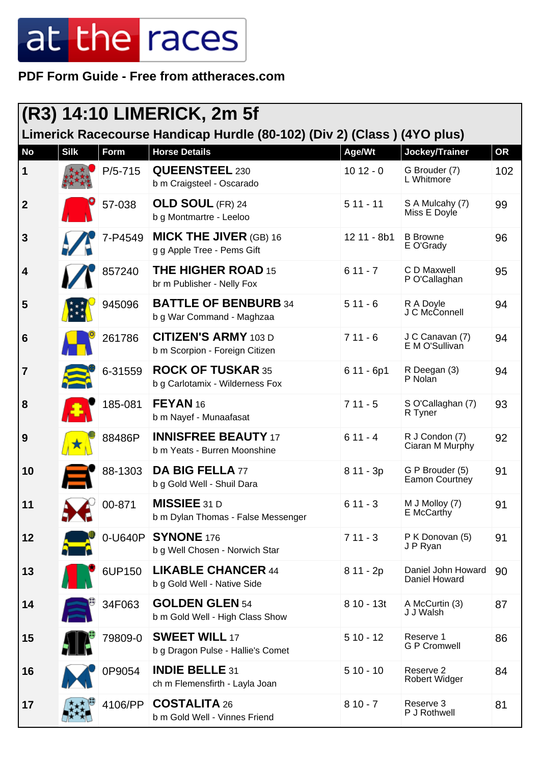**PDF Form Guide - Free from attheraces.com**

| (R3) 14:10 LIMERICK, 2m 5f |             |                  |                                                                         |             |                                     |           |  |
|----------------------------|-------------|------------------|-------------------------------------------------------------------------|-------------|-------------------------------------|-----------|--|
|                            |             |                  | Limerick Racecourse Handicap Hurdle (80-102) (Div 2) (Class) (4YO plus) |             |                                     |           |  |
| <b>No</b>                  | <b>Silk</b> | Form             | <b>Horse Details</b>                                                    | Age/Wt      | Jockey/Trainer                      | <b>OR</b> |  |
| 1                          |             | $P/5 - 715$      | <b>QUEENSTEEL 230</b><br>b m Craigsteel - Oscarado                      | $1012 - 0$  | G Brouder (7)<br>L Whitmore         | 102       |  |
| $\mathbf{2}$               |             | 57-038           | <b>OLD SOUL (FR) 24</b><br>b g Montmartre - Leeloo                      | $511 - 11$  | S A Mulcahy (7)<br>Miss E Doyle     | 99        |  |
| 3                          |             | 7-P4549          | <b>MICK THE JIVER (GB) 16</b><br>g g Apple Tree - Pems Gift             | 12 11 - 8b1 | <b>B</b> Browne<br>E O'Grady        | 96        |  |
| 4                          |             | 857240           | <b>THE HIGHER ROAD 15</b><br>br m Publisher - Nelly Fox                 | $611 - 7$   | C D Maxwell<br>P O'Callaghan        | 95        |  |
| 5                          |             | 945096           | <b>BATTLE OF BENBURB 34</b><br>b g War Command - Maghzaa                | $511 - 6$   | R A Doyle<br>J C McConnell          | 94        |  |
| 6                          |             | 261786           | <b>CITIZEN'S ARMY 103 D</b><br>b m Scorpion - Foreign Citizen           | $711 - 6$   | J C Canavan (7)<br>E M O'Sullivan   | 94        |  |
| $\overline{\mathbf{7}}$    |             | 6-31559          | <b>ROCK OF TUSKAR 35</b><br>b g Carlotamix - Wilderness Fox             | $611 - 6p1$ | R Deegan (3)<br>P Nolan             | 94        |  |
| 8                          |             | 185-081          | FEYAN <sub>16</sub><br>b m Nayef - Munaafasat                           | $711 - 5$   | S O'Callaghan (7)<br>R Tyner        | 93        |  |
| 9                          |             | 88486P           | <b>INNISFREE BEAUTY 17</b><br>b m Yeats - Burren Moonshine              | $611 - 4$   | R J Condon (7)<br>Ciaran M Murphy   | 92        |  |
| 10                         |             | 88-1303          | <b>DA BIG FELLA 77</b><br>b g Gold Well - Shuil Dara                    | $811 - 3p$  | G P Brouder (5)<br>Eamon Courtney   | 91        |  |
| 11                         |             | $\degree$ 00-871 | <b>MISSIEE 31 D</b><br>b m Dylan Thomas - False Messenger               | $611 - 3$   | M J Molloy (7)<br>E McCarthy        | 91        |  |
| 12                         |             | 0-U640P          | <b>SYNONE</b> 176<br>b g Well Chosen - Norwich Star                     | $711 - 3$   | P K Donovan (5)<br>J P Ryan         | 91        |  |
| 13                         |             | 6UP150           | <b>LIKABLE CHANCER 44</b><br>b g Gold Well - Native Side                | $811 - 2p$  | Daniel John Howard<br>Daniel Howard | 90        |  |
| 14                         |             | 34F063           | <b>GOLDEN GLEN 54</b><br>b m Gold Well - High Class Show                | $810 - 13t$ | A McCurtin (3)<br>J J Walsh         | 87        |  |
| 15                         |             | 79809-0          | <b>SWEET WILL 17</b><br>b g Dragon Pulse - Hallie's Comet               | $510 - 12$  | Reserve 1<br><b>G P Cromwell</b>    | 86        |  |
| 16                         |             | 0P9054           | <b>INDIE BELLE 31</b><br>ch m Flemensfirth - Layla Joan                 | $510 - 10$  | Reserve 2<br><b>Robert Widger</b>   | 84        |  |
| 17                         |             | 4106/PP          | <b>COSTALITA 26</b><br>b m Gold Well - Vinnes Friend                    | $810 - 7$   | Reserve 3<br>P J Rothwell           | 81        |  |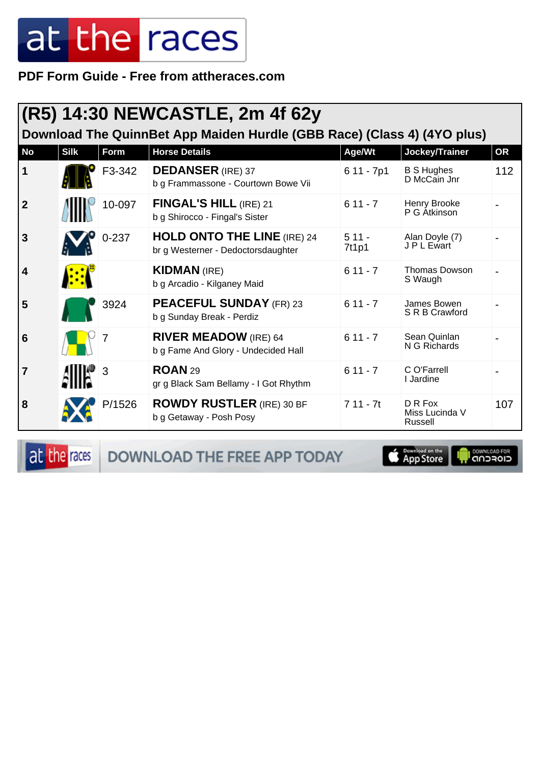PDF Form Guide - Free from attheraces.com

| (R5) 14:30 NEWCASTLE, 2m 4f 62y<br>Download The QuinnBet App Maiden Hurdle (GBB Race) (Class 4) (4YO plus) |             |           |                                                                          |                  |                                      |           |  |  |
|------------------------------------------------------------------------------------------------------------|-------------|-----------|--------------------------------------------------------------------------|------------------|--------------------------------------|-----------|--|--|
| <b>No</b>                                                                                                  | <b>Silk</b> | Form      | <b>Horse Details</b>                                                     | Age/Wt           | Jockey/Trainer                       | <b>OR</b> |  |  |
| $\mathbf 1$                                                                                                |             | F3-342    | <b>DEDANSER</b> (IRE) 37<br>b g Frammassone - Courtown Bowe Vii          | $611 - 7p1$      | <b>B S Hughes</b><br>D McCain Jnr    | 112       |  |  |
| $\overline{2}$                                                                                             |             | 10-097    | FINGAL'S HILL (IRE) 21<br>b g Shirocco - Fingal's Sister                 | $611 - 7$        | Henry Brooke<br>P G Átkinson         |           |  |  |
| 3                                                                                                          |             | $0 - 237$ | <b>HOLD ONTO THE LINE (IRE) 24</b><br>br g Westerner - Dedoctorsdaughter | $511 -$<br>7t1p1 | Alan Doyle (7)<br>J P L Ewart        |           |  |  |
| $\overline{\mathbf{4}}$                                                                                    |             |           | <b>KIDMAN</b> (IRE)<br>b g Arcadio - Kilganey Maid                       | $611 - 7$        | <b>Thomas Dowson</b><br>S Waugh      |           |  |  |
| 5                                                                                                          |             | 3924      | <b>PEACEFUL SUNDAY (FR) 23</b><br>b g Sunday Break - Perdiz              | $611 - 7$        | James Bowen<br>S R B Crawford        |           |  |  |
| 6                                                                                                          |             |           | <b>RIVER MEADOW</b> (IRE) 64<br>b g Fame And Glory - Undecided Hall      | $611 - 7$        | Sean Quinlan<br>N G Richards         |           |  |  |
| $\overline{7}$                                                                                             |             | 3         | <b>ROAN 29</b><br>gr g Black Sam Bellamy - I Got Rhythm                  | $611 - 7$        | C O'Farrell<br>I Jardine             |           |  |  |
| 8                                                                                                          |             | P/1526    | <b>ROWDY RUSTLER (IRE) 30 BF</b><br>b g Getaway - Posh Posy              | $711 - 7t$       | D R Fox<br>Miss Lucinda V<br>Russell | 107       |  |  |

at the races

DOWNLOAD THE FREE APP TODAY



**I DOWNLOAD FOR**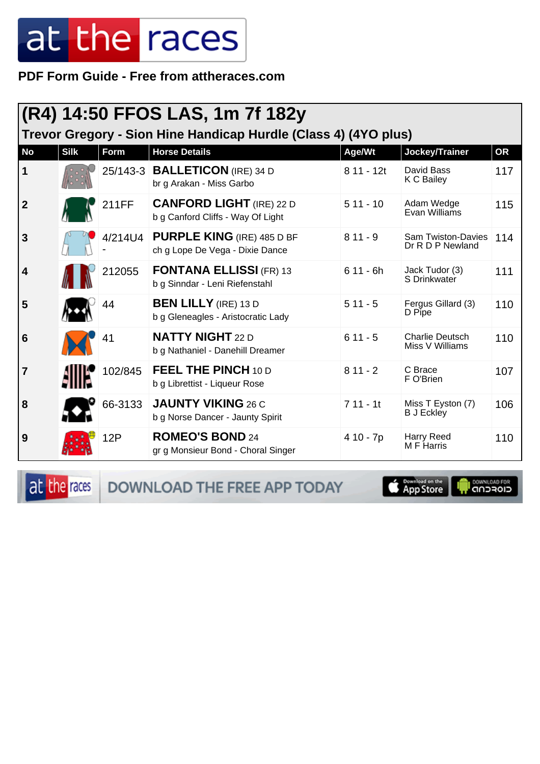**PDF Form Guide - Free from attheraces.com**

| (R4) 14:50 FFOS LAS, 1m 7f 182y<br>Trevor Gregory - Sion Hine Handicap Hurdle (Class 4) (4YO plus) |             |             |                                                                      |             |                                           |           |  |
|----------------------------------------------------------------------------------------------------|-------------|-------------|----------------------------------------------------------------------|-------------|-------------------------------------------|-----------|--|
| <b>No</b>                                                                                          | <b>Silk</b> | <b>Form</b> | <b>Horse Details</b>                                                 | Age/Wt      | Jockey/Trainer                            | <b>OR</b> |  |
| 1                                                                                                  |             |             | 25/143-3 <b>BALLETICON</b> (IRE) 34 D<br>br g Arakan - Miss Garbo    | $811 - 12t$ | David Bass<br>K C Bailey                  | 117       |  |
| $\overline{2}$                                                                                     |             | 211FF       | <b>CANFORD LIGHT</b> (IRE) 22 D<br>b g Canford Cliffs - Way Of Light | $511 - 10$  | Adam Wedge<br>Evan Williams               | 115       |  |
| $\overline{3}$                                                                                     |             | 4/214U4     | <b>PURPLE KING (IRE) 485 D BF</b><br>ch g Lope De Vega - Dixie Dance | $811 - 9$   | Sam Twiston-Davies<br>Dr R D P Newland    | 114       |  |
| 4                                                                                                  |             | 212055      | <b>FONTANA ELLISSI (FR) 13</b><br>b g Sinndar - Leni Riefenstahl     | $611 - 6h$  | Jack Tudor (3)<br>S Drinkwater            | 111       |  |
| 5                                                                                                  |             | 44          | <b>BEN LILLY</b> (IRE) 13 D<br>b g Gleneagles - Aristocratic Lady    | $511 - 5$   | Fergus Gillard (3)<br>D Pipe              | 110       |  |
| 6                                                                                                  |             | 41          | <b>NATTY NIGHT 22 D</b><br>b g Nathaniel - Danehill Dreamer          | $611 - 5$   | <b>Charlie Deutsch</b><br>Miss V Williams | 110       |  |
| $\overline{7}$                                                                                     |             | 102/845     | <b>FEEL THE PINCH 10 D</b><br>b g Librettist - Liqueur Rose          | $811 - 2$   | C Brace<br>F O'Brien                      | 107       |  |
| 8                                                                                                  |             | 66-3133     | <b>JAUNTY VIKING 26 C</b><br>b g Norse Dancer - Jaunty Spirit        | $711 - 11$  | Miss T Eyston (7)<br><b>B</b> J Eckley    | 106       |  |
| 9                                                                                                  |             | 12P         | <b>ROMEO'S BOND 24</b><br>gr g Monsieur Bond - Choral Singer         | 4 10 - 7p   | Harry Reed<br>M F Harris                  | 110       |  |

at the races DOWNLOAD THE FREE APP TODAY

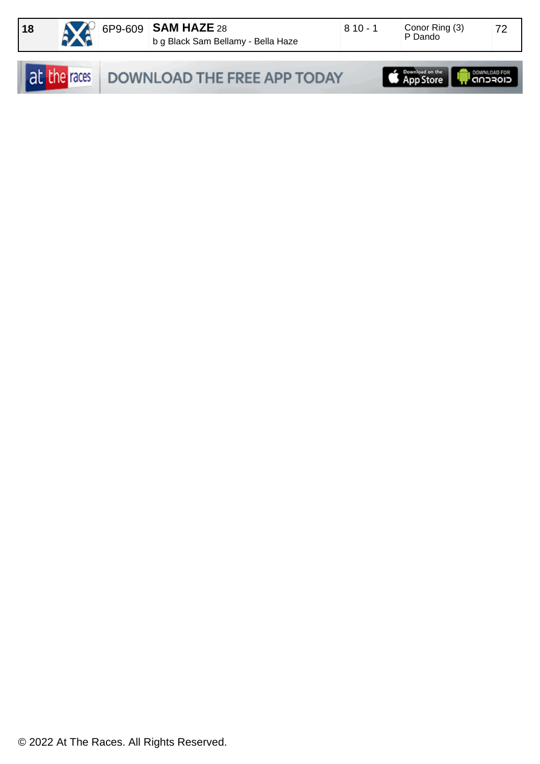

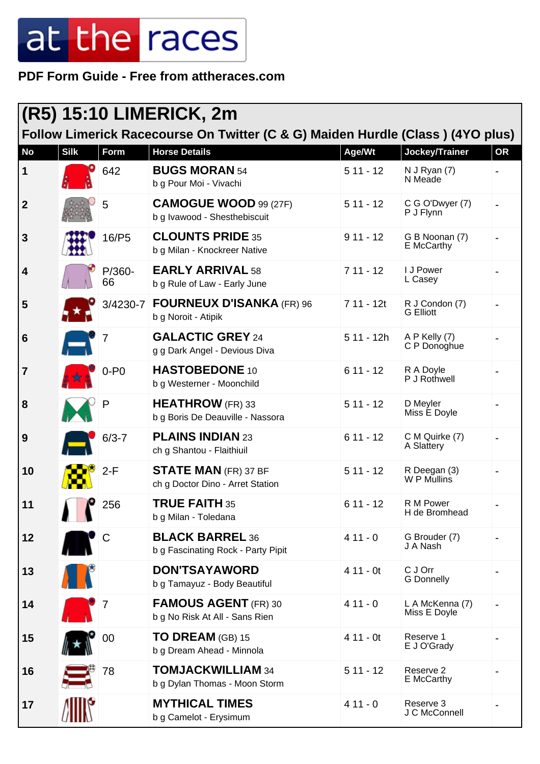**PDF Form Guide - Free from attheraces.com**

| <b>(R5) 15:10 LIMERICK, 2m</b><br>Follow Limerick Racecourse On Twitter (C & G) Maiden Hurdle (Class) (4YO plus) |                               |              |                                                                 |             |                                    |           |  |
|------------------------------------------------------------------------------------------------------------------|-------------------------------|--------------|-----------------------------------------------------------------|-------------|------------------------------------|-----------|--|
| <b>No</b>                                                                                                        | <b>Silk</b>                   | Form         | <b>Horse Details</b>                                            | Age/Wt      | Jockey/Trainer                     | <b>OR</b> |  |
| 1                                                                                                                |                               | 642          | <b>BUGS MORAN 54</b><br>b g Pour Moi - Vivachi                  | $511 - 12$  | $N$ J Ryan $(7)$<br>N Meade        |           |  |
| $\boldsymbol{2}$                                                                                                 |                               | 5            | <b>CAMOGUE WOOD 99 (27F)</b><br>b g Ivawood - Shesthebiscuit    | $511 - 12$  | C G O'Dwyer (7)<br>P J Flynn       |           |  |
| 3                                                                                                                |                               | 16/P5        | <b>CLOUNTS PRIDE 35</b><br>b g Milan - Knockreer Native         | $911 - 12$  | G B Noonan (7)<br>E McCarthy       |           |  |
| $\overline{\mathbf{4}}$                                                                                          |                               | P/360-<br>66 | <b>EARLY ARRIVAL 58</b><br>b g Rule of Law - Early June         | $711 - 12$  | I J Power<br>L Casey               |           |  |
| 5                                                                                                                |                               | 3/4230-7     | <b>FOURNEUX D'ISANKA (FR) 96</b><br>b g Noroit - Atipik         | 7 11 - 12t  | R J Condon (7)<br><b>G</b> Elliott |           |  |
| $6\phantom{1}6$                                                                                                  | ÆΪ                            |              | <b>GALACTIC GREY 24</b><br>g g Dark Angel - Devious Diva        | $511 - 12h$ | A P Kelly (7)<br>C P Donoghue      |           |  |
| $\overline{7}$                                                                                                   | ま木ま                           | $0 - P0$     | <b>HASTOBEDONE 10</b><br>b g Westerner - Moonchild              | $611 - 12$  | R A Doyle<br>P J Rothwell          |           |  |
| 8                                                                                                                |                               | P            | <b>HEATHROW</b> (FR) 33<br>b g Boris De Deauville - Nassora     | $511 - 12$  | D Meyler<br>Miss E Doyle           |           |  |
| 9                                                                                                                |                               | $6/3 - 7$    | <b>PLAINS INDIAN 23</b><br>ch g Shantou - Flaithiuil            | $611 - 12$  | C M Quirke (7)<br>A Slattery       |           |  |
| 10                                                                                                               |                               | $2-F$        | <b>STATE MAN</b> (FR) 37 BF<br>ch g Doctor Dino - Arret Station | $511 - 12$  | R Deegan (3)<br>W P Mullins        |           |  |
| 11                                                                                                               | íG.                           | 256          | <b>TRUE FAITH 35</b><br>b g Milan - Toledana                    | $611 - 12$  | R M Power<br>H de Bromhead         |           |  |
| 12                                                                                                               |                               | C            | <b>BLACK BARREL 36</b><br>b g Fascinating Rock - Party Pipit    | $411 - 0$   | G Brouder (7)<br>J A Nash          |           |  |
| 13                                                                                                               | <b>The Contract of School</b> |              | <b>DON'TSAYAWORD</b><br>b g Tamayuz - Body Beautiful            | $411 - 0t$  | C J Orr<br><b>G</b> Donnelly       |           |  |
| 14                                                                                                               |                               |              | <b>FAMOUS AGENT</b> (FR) 30<br>b g No Risk At All - Sans Rien   | $411 - 0$   | L A McKenna (7)<br>Miss E Doyle    |           |  |
| 15                                                                                                               |                               | 00           | TO DREAM (GB) 15<br>b g Dream Ahead - Minnola                   | $411 - 0t$  | Reserve 1<br>E J O'Grady           |           |  |
| 16                                                                                                               |                               | 78           | TOMJACKWILLIAM 34<br>b g Dylan Thomas - Moon Storm              | $511 - 12$  | Reserve 2<br>E McCarthy            |           |  |
| 17                                                                                                               |                               |              | <b>MYTHICAL TIMES</b><br>b g Camelot - Erysimum                 | $411 - 0$   | Reserve 3<br>J C McConnell         |           |  |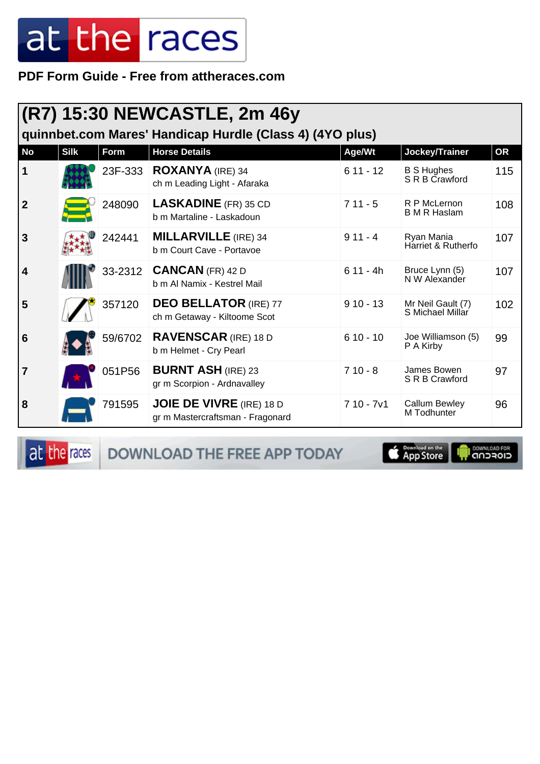PDF Form Guide - Free from attheraces.com

|                | (R7) 15:30 NEWCASTLE, 2m 46y<br>quinnbet.com Mares' Handicap Hurdle (Class 4) (4YO plus) |         |                                                                     |             |                                       |           |  |  |
|----------------|------------------------------------------------------------------------------------------|---------|---------------------------------------------------------------------|-------------|---------------------------------------|-----------|--|--|
| <b>No</b>      | <b>Silk</b>                                                                              | Form    | <b>Horse Details</b>                                                | Age/Wt      | Jockey/Trainer                        | <b>OR</b> |  |  |
| $\mathbf 1$    |                                                                                          | 23F-333 | <b>ROXANYA</b> (IRE) 34<br>ch m Leading Light - Afaraka             | $611 - 12$  | <b>B S Hughes</b><br>S R B Crawford   | 115       |  |  |
| $\overline{2}$ |                                                                                          | 248090  | <b>LASKADINE</b> (FR) 35 CD<br>b m Martaline - Laskadoun            | $711 - 5$   | R P McLernon<br><b>B</b> M R Haslam   | 108       |  |  |
| 3              |                                                                                          | 242441  | <b>MILLARVILLE</b> (IRE) 34<br>b m Court Cave - Portavoe            | $911 - 4$   | Ryan Mania<br>Harriet & Rutherfo      | 107       |  |  |
| 4              |                                                                                          | 33-2312 | $CANCAN$ (FR) 42 D<br>b m Al Namix - Kestrel Mail                   | $611 - 4h$  | Bruce Lynn (5)<br>N W Alexander       | 107       |  |  |
| 5              |                                                                                          | 357120  | <b>DEO BELLATOR (IRE) 77</b><br>ch m Getaway - Kiltoome Scot        | $910 - 13$  | Mr Neil Gault (7)<br>S Michael Millar | 102       |  |  |
| 6              |                                                                                          | 59/6702 | <b>RAVENSCAR</b> (IRE) 18 D<br>b m Helmet - Cry Pearl               | $610 - 10$  | Joe Williamson (5)<br>P A Kirby       | 99        |  |  |
| $\overline{7}$ |                                                                                          | 051P56  | <b>BURNT ASH (IRE) 23</b><br>gr m Scorpion - Ardnavalley            | $710 - 8$   | James Bowen<br>S R B Crawford         | 97        |  |  |
| 8              |                                                                                          | 791595  | <b>JOIE DE VIVRE</b> (IRE) 18 D<br>gr m Mastercraftsman - Fragonard | $710 - 7v1$ | <b>Callum Bewley</b><br>M Todhunter   | 96        |  |  |

at the races

DOWNLOAD THE FREE APP TODAY



**I** DOWNLOAD FOR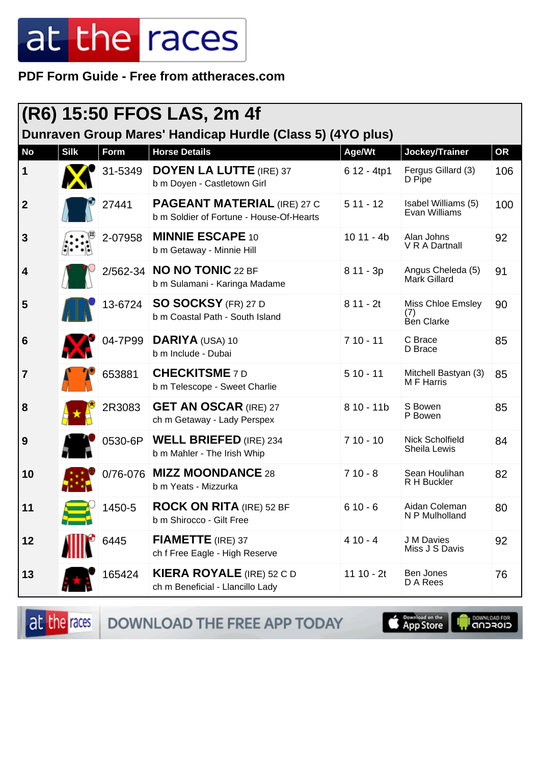**PDF Form Guide - Free from attheraces.com**

| (R6) 15:50 FFOS LAS, 2m 4f<br>Dunraven Group Mares' Handicap Hurdle (Class 5) (4YO plus) |             |          |                                                                                |              |                                        |           |  |
|------------------------------------------------------------------------------------------|-------------|----------|--------------------------------------------------------------------------------|--------------|----------------------------------------|-----------|--|
| <b>No</b>                                                                                | <b>Silk</b> | Form     | <b>Horse Details</b>                                                           | Age/Wt       | Jockey/Trainer                         | <b>OR</b> |  |
| $\mathbf 1$                                                                              |             | 31-5349  | <b>DOYEN LA LUTTE (IRE) 37</b><br>b m Doyen - Castletown Girl                  | 6 12 - 4tp1  | Fergus Gillard (3)<br>D Pipe           | 106       |  |
| $\boldsymbol{2}$                                                                         |             | 27441    | <b>PAGEANT MATERIAL (IRE) 27 C</b><br>b m Soldier of Fortune - House-Of-Hearts | $511 - 12$   | Isabel Williams (5)<br>Evan Williams   | 100       |  |
| 3                                                                                        |             | 2-07958  | <b>MINNIE ESCAPE 10</b><br>b m Getaway - Minnie Hill                           | $1011 - 4b$  | Alan Johns<br>V R A Dartnall           | 92        |  |
| 4                                                                                        |             |          | 2/562-34 <b>NO NO TONIC</b> 22 BF<br>b m Sulamani - Karinga Madame             | $811 - 3p$   | Angus Cheleda (5)<br>Mark Gillard      | 91        |  |
| 5                                                                                        |             | 13-6724  | <b>SO SOCKSY (FR) 27 D</b><br>b m Coastal Path - South Island                  | $811 - 2t$   | Miss Chloe Emsley<br>(7)<br>Ben Clarke | 90        |  |
| 6                                                                                        |             | 04-7P99  | DARIYA (USA) 10<br>b m Include - Dubai                                         | $710 - 11$   | C Brace<br>D Brace                     | 85        |  |
| $\overline{7}$                                                                           |             | 653881   | <b>CHECKITSME 7D</b><br>b m Telescope - Sweet Charlie                          | $510 - 11$   | Mitchell Bastyan (3)<br>M F Harris     | 85        |  |
| 8                                                                                        |             | 2R3083   | <b>GET AN OSCAR (IRE) 27</b><br>ch m Getaway - Lady Perspex                    | $810 - 11b$  | S Bowen<br>P Bowen                     | 85        |  |
| 9                                                                                        |             | 0530-6P  | <b>WELL BRIEFED (IRE) 234</b><br>b m Mahler - The Irish Whip                   | $710 - 10$   | Nick Scholfield<br><b>Sheila Lewis</b> | 84        |  |
| 10                                                                                       |             | 0/76-076 | <b>MIZZ MOONDANCE 28</b><br>b m Yeats - Mizzurka                               | $710 - 8$    | Sean Houlihan<br>R H Buckler           | 82        |  |
| 11                                                                                       |             | 1450-5   | <b>ROCK ON RITA (IRE) 52 BF</b><br>b m Shirocco - Gilt Free                    | $610 - 6$    | Aidan Coleman<br>N P Mulholland        | 80        |  |
| 12                                                                                       |             | 6445     | FIAMETTE (IRE) 37<br>ch f Free Eagle - High Reserve                            | $410 - 4$    | J M Davies<br>Miss J S Davis           | 92        |  |
| 13                                                                                       |             | 165424   | <b>KIERA ROYALE</b> (IRE) 52 C D<br>ch m Beneficial - Llancillo Lady           | 11 10 - $2t$ | Ben Jones<br>D A Rees                  | 76        |  |

DOWNLOAD THE FREE APP TODAY at the races

App Store **DOWNLOAD FOR**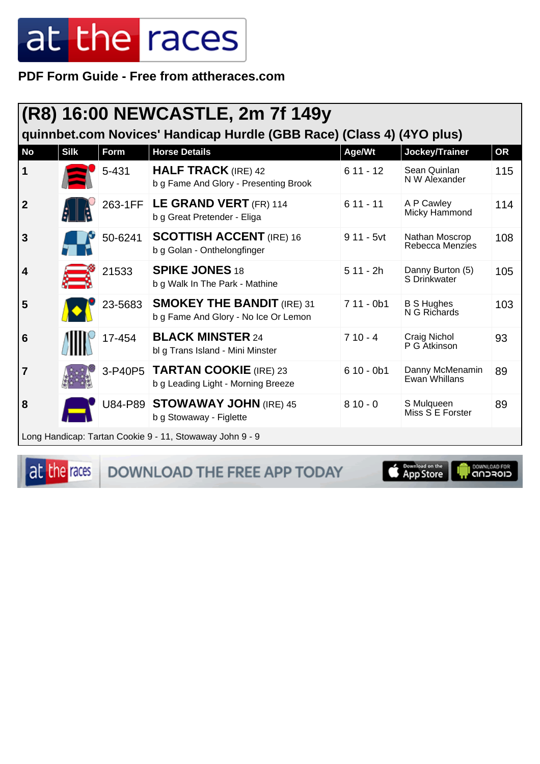PDF Form Guide - Free from attheraces.com

| (R8) 16:00 NEWCASTLE, 2m 7f 149y<br>quinnbet.com Novices' Handicap Hurdle (GBB Race) (Class 4) (4YO plus) |                                                          |         |                                                                           |             |                                   |           |
|-----------------------------------------------------------------------------------------------------------|----------------------------------------------------------|---------|---------------------------------------------------------------------------|-------------|-----------------------------------|-----------|
| <b>No</b>                                                                                                 | <b>Silk</b>                                              | Form    | <b>Horse Details</b>                                                      | Age/Wt      | Jockey/Trainer                    | <b>OR</b> |
| 1                                                                                                         |                                                          | 5-431   | <b>HALF TRACK</b> (IRE) 42<br>b g Fame And Glory - Presenting Brook       | $611 - 12$  | Sean Quinlan<br>N W Alexander     | 115       |
| $\overline{2}$                                                                                            |                                                          | 263-1FF | LE GRAND VERT (FR) 114<br>b g Great Pretender - Eliga                     | $611 - 11$  | A P Cawley<br>Micky Hammond       | 114       |
| 3                                                                                                         |                                                          | 50-6241 | <b>SCOTTISH ACCENT (IRE) 16</b><br>b g Golan - Onthelongfinger            | $911 - 5vt$ | Nathan Moscrop<br>Rebecca Menzies | 108       |
| 4                                                                                                         |                                                          | 21533   | <b>SPIKE JONES 18</b><br>b g Walk In The Park - Mathine                   | $511 - 2h$  | Danny Burton (5)<br>S Drinkwater  | 105       |
| 5                                                                                                         |                                                          | 23-5683 | <b>SMOKEY THE BANDIT (IRE) 31</b><br>b g Fame And Glory - No Ice Or Lemon | $711 - 0b1$ | <b>B S Hughes</b><br>N G Richards | 103       |
| 6                                                                                                         |                                                          | 17-454  | <b>BLACK MINSTER 24</b><br>bl g Trans Island - Mini Minster               | $710 - 4$   | Craig Nichol<br>P G Atkinson      | 93        |
| 7                                                                                                         |                                                          | 3-P40P5 | <b>TARTAN COOKIE</b> (IRE) 23<br>b g Leading Light - Morning Breeze       | $610 - 0b1$ | Danny McMenamin<br>Ewan Whillans  | 89        |
| 8                                                                                                         |                                                          |         | U84-P89 STOWAWAY JOHN (IRE) 45<br>b g Stowaway - Figlette                 | $810 - 0$   | S Mulqueen<br>Miss S E Forster    | 89        |
|                                                                                                           | Long Handicap: Tartan Cookie 9 - 11, Stowaway John 9 - 9 |         |                                                                           |             |                                   |           |

at the races

DOWNLOAD THE FREE APP TODAY

**Exampled on the** 

**Il DOWNLOAD FOR**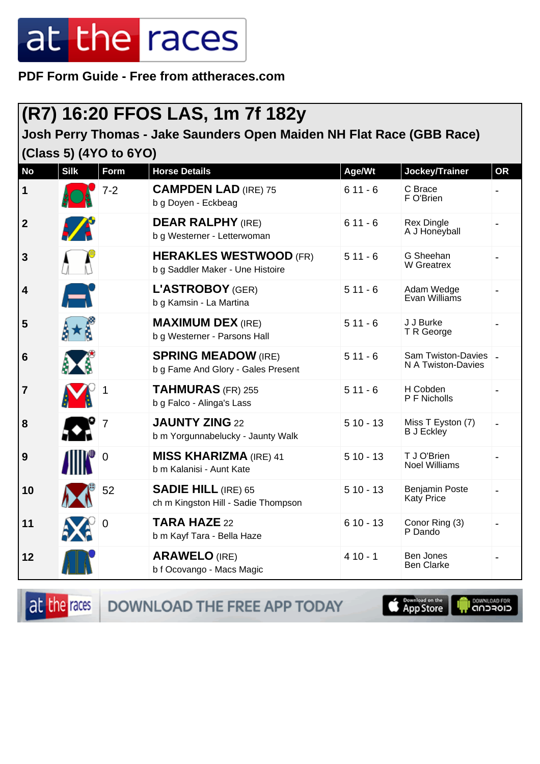**PDF Form Guide - Free from attheraces.com**

#### **(R7) 16:20 FFOS LAS, 1m 7f 182y**

#### **Josh Perry Thomas - Jake Saunders Open Maiden NH Flat Race (GBB Race) (Class 5) (4YO to 6YO)**

| <b>No</b>      | <b>Silk</b>   | Form        | <b>Horse Details</b>                                              | Age/Wt     | Jockey/Trainer                           | <b>OR</b> |
|----------------|---------------|-------------|-------------------------------------------------------------------|------------|------------------------------------------|-----------|
| 1              |               | $7 - 2$     | <b>CAMPDEN LAD (IRE) 75</b><br>b g Doyen - Eckbeag                | $611 - 6$  | C Brace<br>F O'Brien                     |           |
| $\mathbf{2}$   | $\mathcal{L}$ |             | <b>DEAR RALPHY (IRE)</b><br>b g Westerner - Letterwoman           | $611 - 6$  | Rex Dingle<br>A J Honeyball              |           |
| 3              |               |             | <b>HERAKLES WESTWOOD (FR)</b><br>b g Saddler Maker - Une Histoire | $511 - 6$  | G Sheehan<br>W Greatrex                  |           |
| 4              | F             |             | L'ASTROBOY (GER)<br>b g Kamsin - La Martina                       | $511 - 6$  | Adam Wedge<br>Evan Williams              |           |
| 5              |               |             | <b>MAXIMUM DEX (IRE)</b><br>b g Westerner - Parsons Hall          | $511 - 6$  | J J Burke<br>T R George                  |           |
| 6              |               |             | <b>SPRING MEADOW (IRE)</b><br>b g Fame And Glory - Gales Present  | $511 - 6$  | Sam Twiston-Davies<br>N A Twiston-Davies |           |
| $\overline{7}$ |               |             | TAHMURAS (FR) 255<br>b g Falco - Alinga's Lass                    | $511 - 6$  | H Cobden<br>P F Nicholls                 |           |
| 8              |               |             | <b>JAUNTY ZING 22</b><br>b m Yorgunnabelucky - Jaunty Walk        | $510 - 13$ | Miss T Eyston (7)<br><b>B</b> J Eckley   |           |
| 9              |               | $\mathbf 0$ | <b>MISS KHARIZMA (IRE) 41</b><br>b m Kalanisi - Aunt Kate         | $510 - 13$ | T J O'Brien<br><b>Noel Williams</b>      |           |
| 10             |               | 52          | <b>SADIE HILL (IRE) 65</b><br>ch m Kingston Hill - Sadie Thompson | $510 - 13$ | <b>Benjamin Poste</b><br>Katy Price      |           |
| 11             |               | 0           | TARA HAZE 22<br>b m Kayf Tara - Bella Haze                        | $610 - 13$ | Conor Ring (3)<br>P Dando                |           |
| 12             |               |             | <b>ARAWELO (IRE)</b><br>b f Ocovango - Macs Magic                 | $410 - 1$  | Ben Jones<br><b>Ben Clarke</b>           |           |

at the races

DOWNLOAD THE FREE APP TODAY



**OOMNLOAD FOR**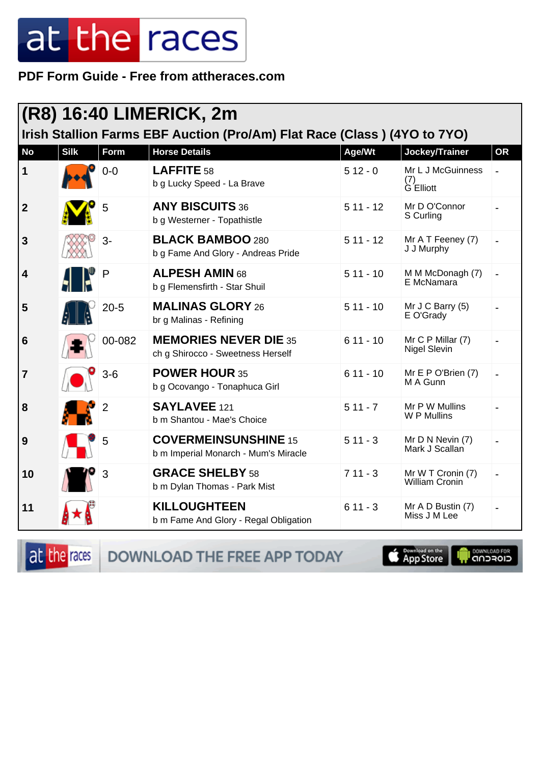PDF Form Guide - Free from attheraces.com

| (R8) 16:40 LIMERICK, 2m                                                  |             |                |                                                                     |            |                                            |           |  |
|--------------------------------------------------------------------------|-------------|----------------|---------------------------------------------------------------------|------------|--------------------------------------------|-----------|--|
| Irish Stallion Farms EBF Auction (Pro/Am) Flat Race (Class) (4YO to 7YO) |             |                |                                                                     |            |                                            |           |  |
| <b>No</b>                                                                | <b>Silk</b> | Form           | <b>Horse Details</b>                                                | Age/Wt     | Jockey/Trainer                             | <b>OR</b> |  |
| 1                                                                        |             | $0-0$          | LAFFITE 58<br>b g Lucky Speed - La Brave                            | $512 - 0$  | Mr L J McGuinness<br>(7)<br>G Elliott      |           |  |
| $\boldsymbol{2}$                                                         |             | 5              | <b>ANY BISCUITS 36</b><br>b g Westerner - Topathistle               | $511 - 12$ | Mr D O'Connor<br>S Curling                 |           |  |
| $\mathbf{3}$                                                             |             | $3-$           | <b>BLACK BAMBOO 280</b><br>b g Fame And Glory - Andreas Pride       | $511 - 12$ | Mr A T Feeney (7)<br>J J Murphy            |           |  |
| 4                                                                        |             | P              | <b>ALPESH AMIN 68</b><br>b g Flemensfirth - Star Shuil              | $511 - 10$ | M M McDonagh (7)<br>E McNamara             |           |  |
| 5                                                                        |             | $20 - 5$       | <b>MALINAS GLORY 26</b><br>br g Malinas - Refining                  | $511 - 10$ | Mr J C Barry (5)<br>E O'Grady              |           |  |
| 6                                                                        |             | 00-082         | <b>MEMORIES NEVER DIE 35</b><br>ch g Shirocco - Sweetness Herself   | $611 - 10$ | Mr C P Millar (7)<br>Nigel Slevin          |           |  |
| $\overline{7}$                                                           |             | $3-6$          | <b>POWER HOUR 35</b><br>b g Ocovango - Tonaphuca Girl               | $611 - 10$ | Mr E P O'Brien (7)<br>M A Gunn             |           |  |
| 8                                                                        |             | $\overline{2}$ | SAYLAVEE 121<br>b m Shantou - Mae's Choice                          | $511 - 7$  | Mr P W Mullins<br>W P Mullins              |           |  |
| 9                                                                        |             | 5              | <b>COVERMEINSUNSHINE 15</b><br>b m Imperial Monarch - Mum's Miracle | $511 - 3$  | Mr D N Nevin (7)<br>Mark J Scallan         |           |  |
| 10                                                                       |             | 3              | <b>GRACE SHELBY 58</b><br>b m Dylan Thomas - Park Mist              | $711 - 3$  | Mr W T Cronin (7)<br><b>William Cronin</b> |           |  |
| 11                                                                       |             |                | <b>KILLOUGHTEEN</b><br>b m Fame And Glory - Regal Obligation        | $611 - 3$  | Mr A D Bustin (7)<br>Miss J M Lee          |           |  |

at the races

DOWNLOAD THE FREE APP TODAY

**OOMNLOAD FOR Completed on the** r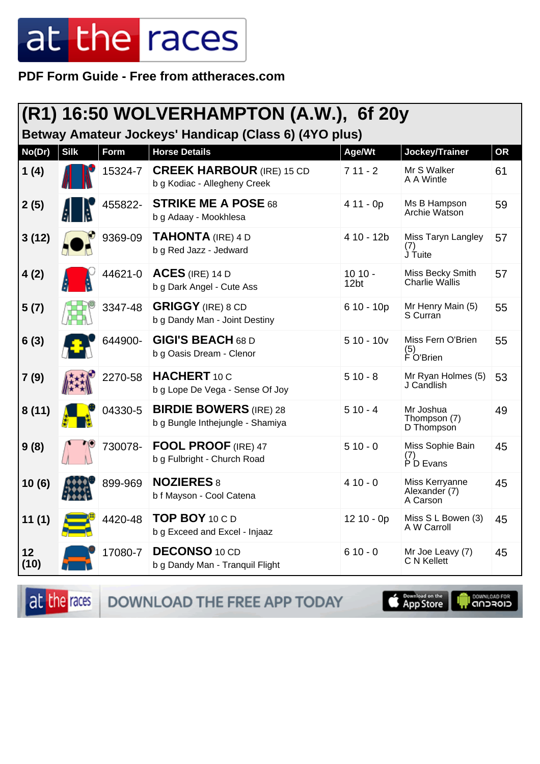PDF Form Guide - Free from attheraces.com

| (R1) 16:50 WOLVERHAMPTON (A.W.), 6f 20y               |             |             |                                                                   |                              |                                             |    |  |
|-------------------------------------------------------|-------------|-------------|-------------------------------------------------------------------|------------------------------|---------------------------------------------|----|--|
| Betway Amateur Jockeys' Handicap (Class 6) (4YO plus) |             |             |                                                                   |                              |                                             |    |  |
| No(Dr)                                                | <b>Silk</b> | <b>Form</b> | <b>Horse Details</b>                                              | Age/Wt                       | Jockey/Trainer                              | OR |  |
| 1(4)                                                  |             | 15324-7     | <b>CREEK HARBOUR (IRE) 15 CD</b><br>b g Kodiac - Allegheny Creek  | $711 - 2$                    | Mr S Walker<br>A A Wintle                   | 61 |  |
| 2(5)                                                  |             | 455822-     | <b>STRIKE ME A POSE 68</b><br>b g Adaay - Mookhlesa               | $411 - 0p$                   | Ms B Hampson<br>Archie Watson               | 59 |  |
| 3(12)                                                 |             | 9369-09     | <b>TAHONTA</b> (IRE) 4 D<br>b g Red Jazz - Jedward                | 4 10 - 12b                   | Miss Taryn Langley<br>(1)<br>J Tuite        | 57 |  |
| 4(2)                                                  |             | 44621-0     | $ACES$ (IRE) 14 D<br>b g Dark Angel - Cute Ass                    | $1010 -$<br>12 <sub>bt</sub> | Miss Becky Smith<br><b>Charlie Wallis</b>   | 57 |  |
| 5(7)                                                  |             | 3347-48     | <b>GRIGGY</b> (IRE) 8 CD<br>b g Dandy Man - Joint Destiny         | $610 - 10p$                  | Mr Henry Main (5)<br>S Curran               | 55 |  |
| 6(3)                                                  |             | 644900-     | <b>GIGI'S BEACH 68 D</b><br>b g Oasis Dream - Clenor              | $510 - 10v$                  | Miss Fern O'Brien<br>(5)<br>F O'Brien       | 55 |  |
| 7(9)                                                  |             | 2270-58     | <b>HACHERT</b> 10 C<br>b g Lope De Vega - Sense Of Joy            | $510 - 8$                    | Mr Ryan Holmes (5)<br>J Candlish            | 53 |  |
| 8(11)                                                 |             | 04330-5     | <b>BIRDIE BOWERS</b> (IRE) 28<br>b g Bungle Inthejungle - Shamiya | $510 - 4$                    | Mr Joshua<br>Thompson (7)<br>D Thompson     | 49 |  |
| 9(8)                                                  |             | 730078-     | <b>FOOL PROOF</b> (IRE) 47<br>b g Fulbright - Church Road         | $510 - 0$                    | Miss Sophie Bain<br>(7)<br>P D Evans        | 45 |  |
| 10(6)                                                 |             | 899-969     | <b>NOZIERES 8</b><br>b f Mayson - Cool Catena                     | $410 - 0$                    | Miss Kerryanne<br>Alexander (7)<br>A Carson | 45 |  |
| 11(1)                                                 |             | 4420-48     | TOP BOY 10 C D<br>b g Exceed and Excel - Injaaz                   | $1210 - 0p$                  | Miss S L Bowen (3)<br>A W Carroll           | 45 |  |
| 12<br>(10)                                            |             | 17080-7     | <b>DECONSO 10 CD</b><br>b g Dandy Man - Tranquil Flight           | $610 - 0$                    | Mr Joe Leavy (7)<br>C N Kellett             | 45 |  |

at the races

DOWNLOAD THE FREE APP TODAY

App Store

il <sup>DownLGAD FOR</sup><br>CIOFCND